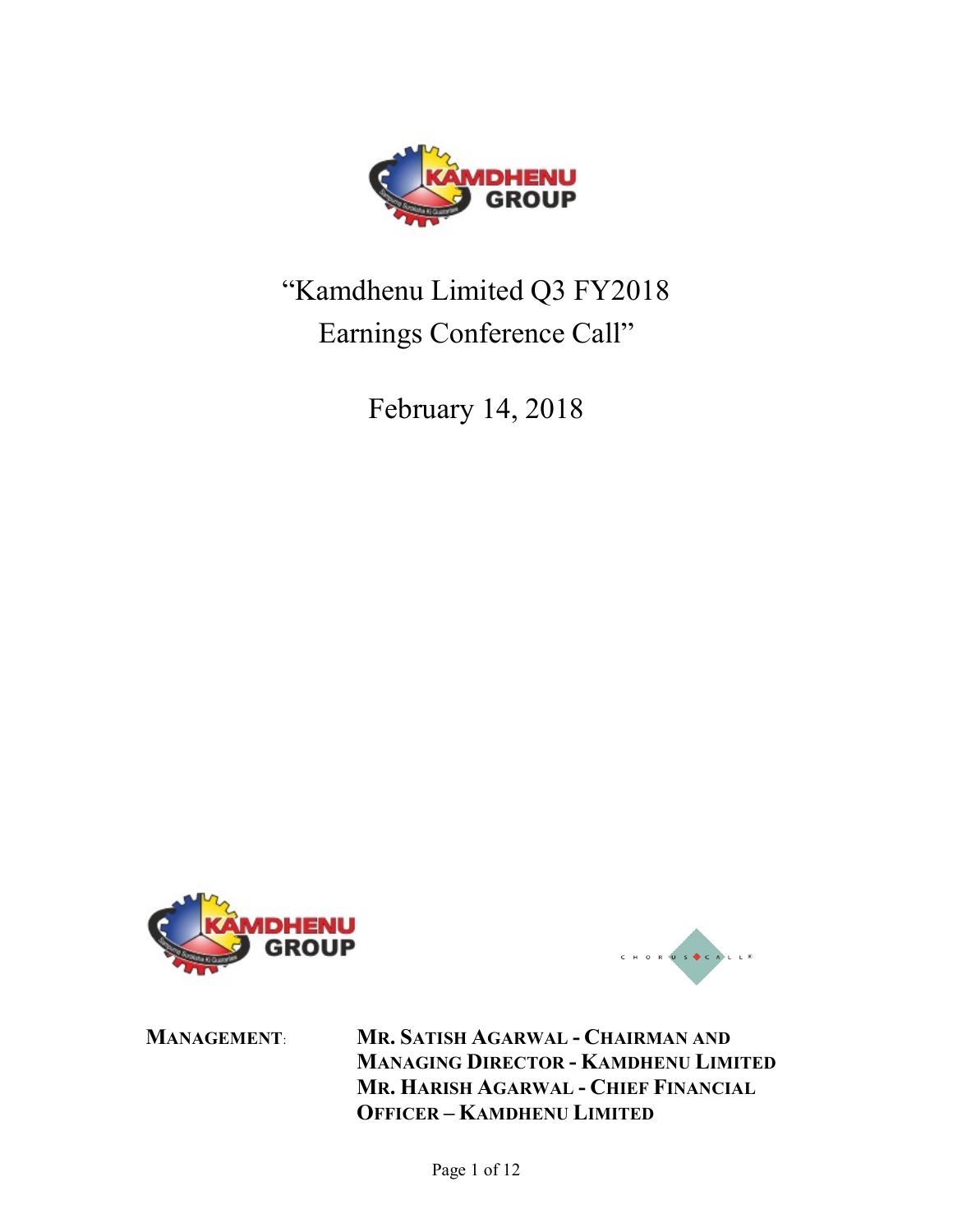

# "Kamdhenu Limited Q3 FY2018 Earnings Conference Call"

February 14, 2018





MANAGEMENT: MR. SATISH AGARWAL - CHAIRMAN AND MANAGING DIRECTOR - KAMDHENU LIMITED MR. HARISH AGARWAL - CHIEF FINANCIAL OFFICER – KAMDHENU LIMITED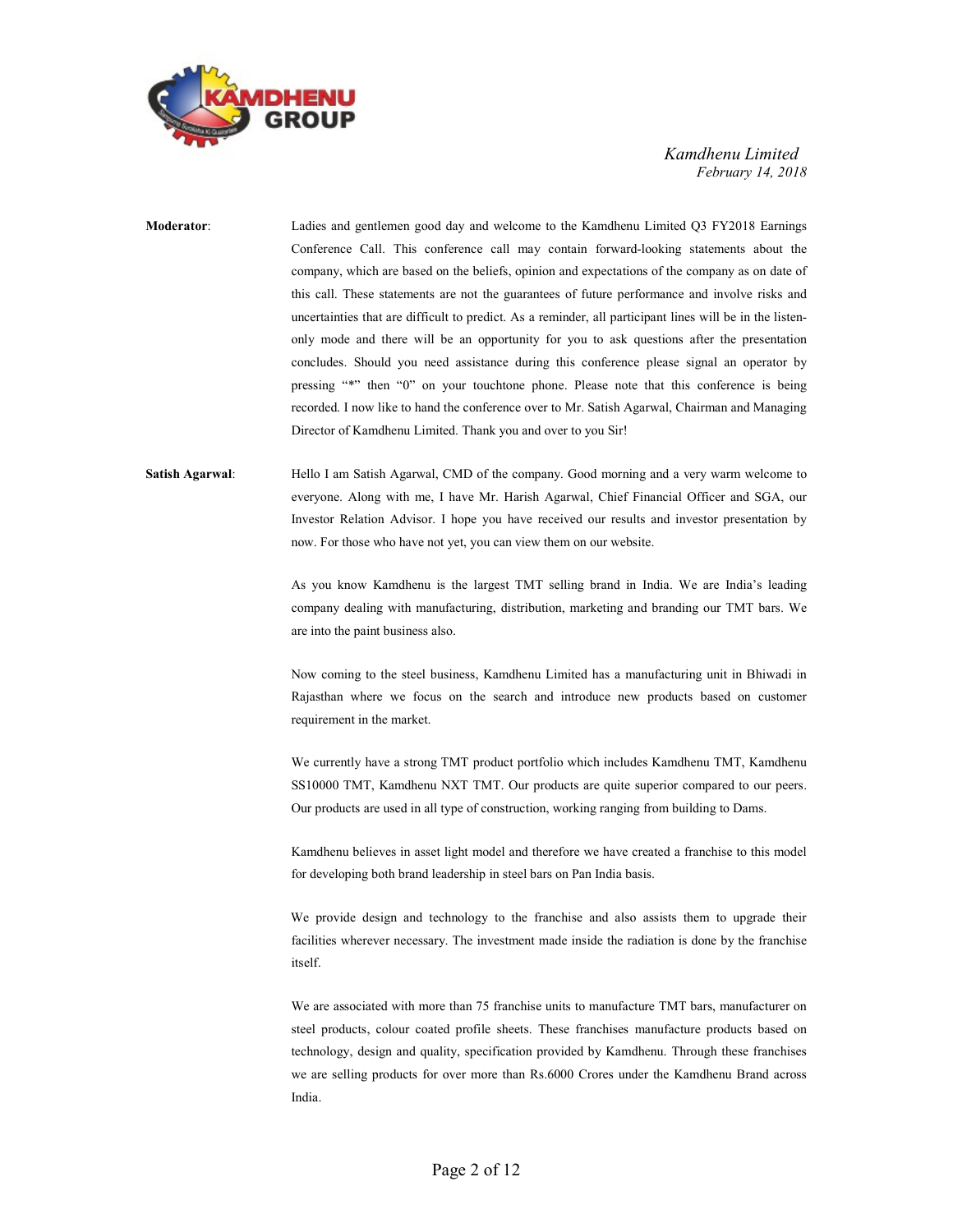

Moderator: Ladies and gentlemen good day and welcome to the Kamdhenu Limited Q3 FY2018 Earnings Conference Call. This conference call may contain forward-looking statements about the company, which are based on the beliefs, opinion and expectations of the company as on date of this call. These statements are not the guarantees of future performance and involve risks and uncertainties that are difficult to predict. As a reminder, all participant lines will be in the listenonly mode and there will be an opportunity for you to ask questions after the presentation concludes. Should you need assistance during this conference please signal an operator by pressing "\*" then "0" on your touchtone phone. Please note that this conference is being recorded. I now like to hand the conference over to Mr. Satish Agarwal, Chairman and Managing Director of Kamdhenu Limited. Thank you and over to you Sir!

Satish Agarwal: Hello I am Satish Agarwal, CMD of the company. Good morning and a very warm welcome to everyone. Along with me, I have Mr. Harish Agarwal, Chief Financial Officer and SGA, our Investor Relation Advisor. I hope you have received our results and investor presentation by now. For those who have not yet, you can view them on our website.

> As you know Kamdhenu is the largest TMT selling brand in India. We are India's leading company dealing with manufacturing, distribution, marketing and branding our TMT bars. We are into the paint business also.

> Now coming to the steel business, Kamdhenu Limited has a manufacturing unit in Bhiwadi in Rajasthan where we focus on the search and introduce new products based on customer requirement in the market.

> We currently have a strong TMT product portfolio which includes Kamdhenu TMT, Kamdhenu SS10000 TMT, Kamdhenu NXT TMT. Our products are quite superior compared to our peers. Our products are used in all type of construction, working ranging from building to Dams.

> Kamdhenu believes in asset light model and therefore we have created a franchise to this model for developing both brand leadership in steel bars on Pan India basis.

> We provide design and technology to the franchise and also assists them to upgrade their facilities wherever necessary. The investment made inside the radiation is done by the franchise itself.

> We are associated with more than 75 franchise units to manufacture TMT bars, manufacturer on steel products, colour coated profile sheets. These franchises manufacture products based on technology, design and quality, specification provided by Kamdhenu. Through these franchises we are selling products for over more than Rs.6000 Crores under the Kamdhenu Brand across India.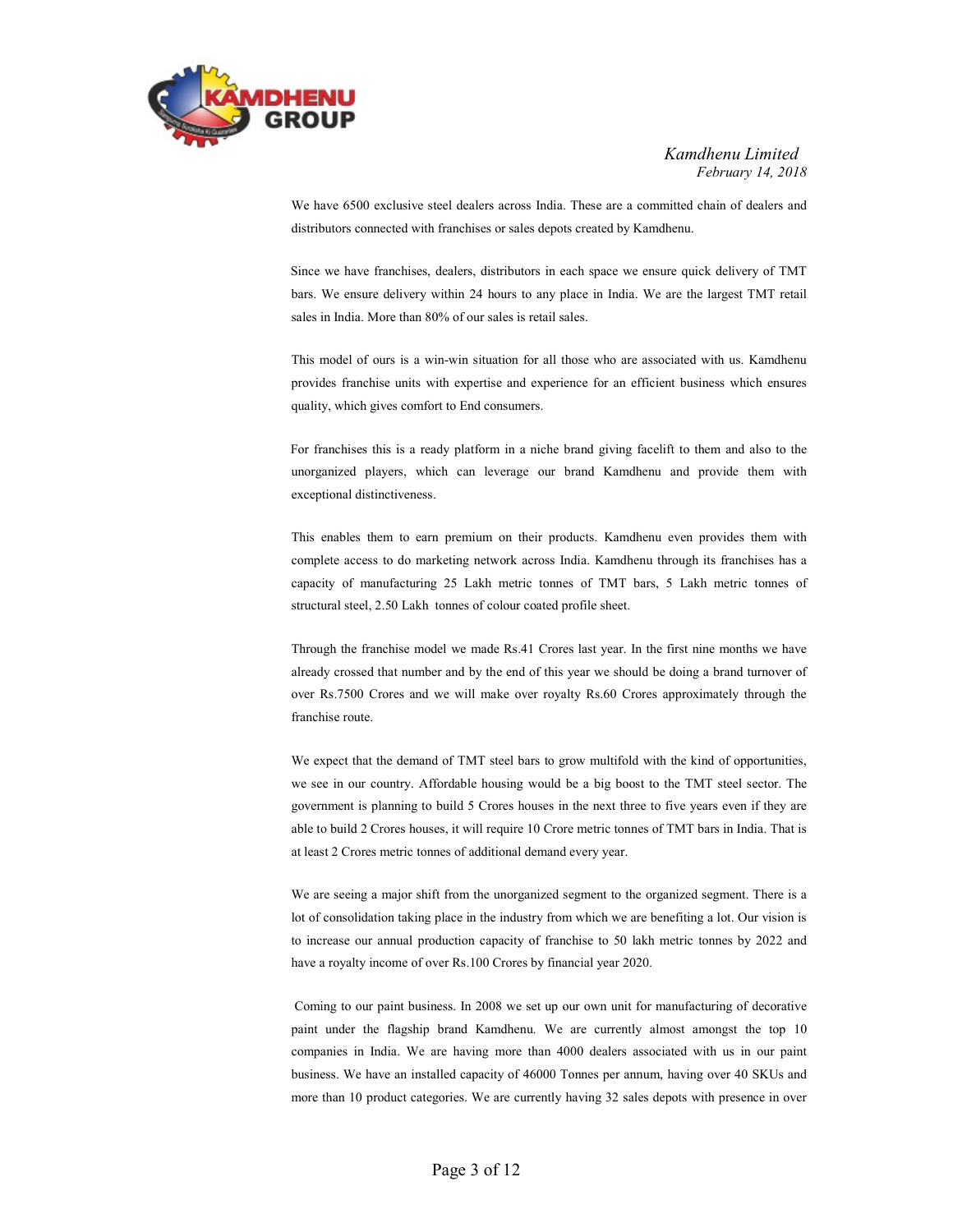

 We have 6500 exclusive steel dealers across India. These are a committed chain of dealers and distributors connected with franchises or sales depots created by Kamdhenu.

 Since we have franchises, dealers, distributors in each space we ensure quick delivery of TMT bars. We ensure delivery within 24 hours to any place in India. We are the largest TMT retail sales in India. More than 80% of our sales is retail sales.

 This model of ours is a win-win situation for all those who are associated with us. Kamdhenu provides franchise units with expertise and experience for an efficient business which ensures quality, which gives comfort to End consumers.

 For franchises this is a ready platform in a niche brand giving facelift to them and also to the unorganized players, which can leverage our brand Kamdhenu and provide them with exceptional distinctiveness.

 This enables them to earn premium on their products. Kamdhenu even provides them with complete access to do marketing network across India. Kamdhenu through its franchises has a capacity of manufacturing 25 Lakh metric tonnes of TMT bars, 5 Lakh metric tonnes of structural steel, 2.50 Lakh tonnes of colour coated profile sheet.

 Through the franchise model we made Rs.41 Crores last year. In the first nine months we have already crossed that number and by the end of this year we should be doing a brand turnover of over Rs.7500 Crores and we will make over royalty Rs.60 Crores approximately through the franchise route.

 We expect that the demand of TMT steel bars to grow multifold with the kind of opportunities, we see in our country. Affordable housing would be a big boost to the TMT steel sector. The government is planning to build 5 Crores houses in the next three to five years even if they are able to build 2 Crores houses, it will require 10 Crore metric tonnes of TMT bars in India. That is at least 2 Crores metric tonnes of additional demand every year.

 We are seeing a major shift from the unorganized segment to the organized segment. There is a lot of consolidation taking place in the industry from which we are benefiting a lot. Our vision is to increase our annual production capacity of franchise to 50 lakh metric tonnes by 2022 and have a royalty income of over Rs.100 Crores by financial year 2020.

 Coming to our paint business. In 2008 we set up our own unit for manufacturing of decorative paint under the flagship brand Kamdhenu. We are currently almost amongst the top 10 companies in India. We are having more than 4000 dealers associated with us in our paint business. We have an installed capacity of 46000 Tonnes per annum, having over 40 SKUs and more than 10 product categories. We are currently having 32 sales depots with presence in over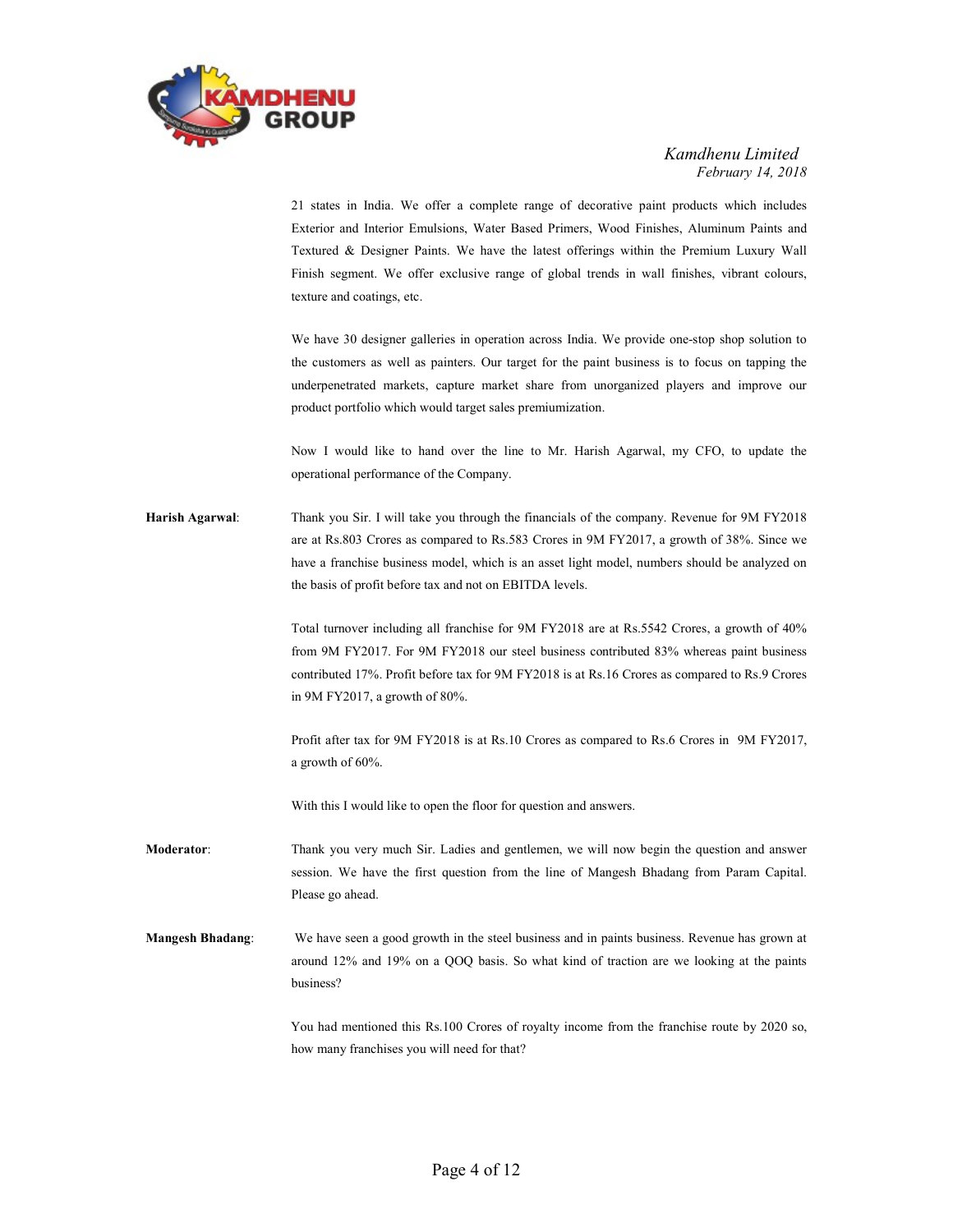

21 states in India. We offer a complete range of decorative paint products which includes Exterior and Interior Emulsions, Water Based Primers, Wood Finishes, Aluminum Paints and Textured & Designer Paints. We have the latest offerings within the Premium Luxury Wall Finish segment. We offer exclusive range of global trends in wall finishes, vibrant colours, texture and coatings, etc.

 We have 30 designer galleries in operation across India. We provide one-stop shop solution to the customers as well as painters. Our target for the paint business is to focus on tapping the underpenetrated markets, capture market share from unorganized players and improve our product portfolio which would target sales premiumization.

 Now I would like to hand over the line to Mr. Harish Agarwal, my CFO, to update the operational performance of the Company.

Harish Agarwal: Thank you Sir. I will take you through the financials of the company. Revenue for 9M FY2018 are at Rs.803 Crores as compared to Rs.583 Crores in 9M FY2017, a growth of 38%. Since we have a franchise business model, which is an asset light model, numbers should be analyzed on the basis of profit before tax and not on EBITDA levels.

> Total turnover including all franchise for 9M FY2018 are at Rs.5542 Crores, a growth of 40% from 9M FY2017. For 9M FY2018 our steel business contributed 83% whereas paint business contributed 17%. Profit before tax for 9M FY2018 is at Rs.16 Crores as compared to Rs.9 Crores in 9M FY2017, a growth of 80%.

> Profit after tax for 9M FY2018 is at Rs.10 Crores as compared to Rs.6 Crores in 9M FY2017, a growth of 60%.

With this I would like to open the floor for question and answers.

- Moderator: Thank you very much Sir. Ladies and gentlemen, we will now begin the question and answer session. We have the first question from the line of Mangesh Bhadang from Param Capital. Please go ahead.
- Mangesh Bhadang: We have seen a good growth in the steel business and in paints business. Revenue has grown at around 12% and 19% on a QOQ basis. So what kind of traction are we looking at the paints business?

 You had mentioned this Rs.100 Crores of royalty income from the franchise route by 2020 so, how many franchises you will need for that?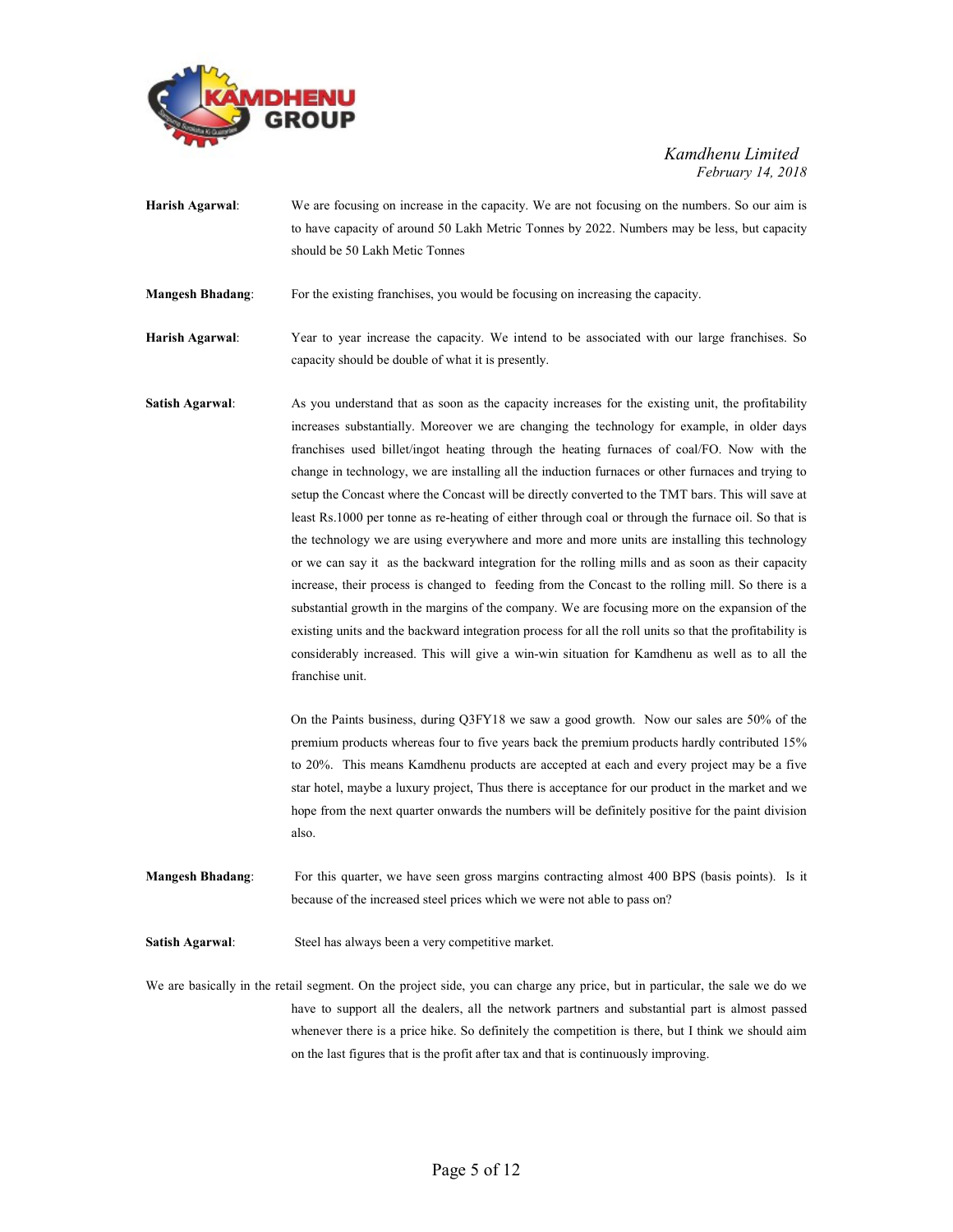

Harish Agarwal: We are focusing on increase in the capacity. We are not focusing on the numbers. So our aim is to have capacity of around 50 Lakh Metric Tonnes by 2022. Numbers may be less, but capacity should be 50 Lakh Metic Tonnes

Mangesh Bhadang: For the existing franchises, you would be focusing on increasing the capacity.

Harish Agarwal: Year to year increase the capacity. We intend to be associated with our large franchises. So capacity should be double of what it is presently.

Satish Agarwal: As you understand that as soon as the capacity increases for the existing unit, the profitability increases substantially. Moreover we are changing the technology for example, in older days franchises used billet/ingot heating through the heating furnaces of coal/FO. Now with the change in technology, we are installing all the induction furnaces or other furnaces and trying to setup the Concast where the Concast will be directly converted to the TMT bars. This will save at least Rs.1000 per tonne as re-heating of either through coal or through the furnace oil. So that is the technology we are using everywhere and more and more units are installing this technology or we can say it as the backward integration for the rolling mills and as soon as their capacity increase, their process is changed to feeding from the Concast to the rolling mill. So there is a substantial growth in the margins of the company. We are focusing more on the expansion of the existing units and the backward integration process for all the roll units so that the profitability is considerably increased. This will give a win-win situation for Kamdhenu as well as to all the franchise unit.

> On the Paints business, during Q3FY18 we saw a good growth. Now our sales are 50% of the premium products whereas four to five years back the premium products hardly contributed 15% to 20%. This means Kamdhenu products are accepted at each and every project may be a five star hotel, maybe a luxury project, Thus there is acceptance for our product in the market and we hope from the next quarter onwards the numbers will be definitely positive for the paint division also.

Mangesh Bhadang: For this quarter, we have seen gross margins contracting almost 400 BPS (basis points). Is it because of the increased steel prices which we were not able to pass on?

Satish Agarwal: Steel has always been a very competitive market.

We are basically in the retail segment. On the project side, you can charge any price, but in particular, the sale we do we have to support all the dealers, all the network partners and substantial part is almost passed whenever there is a price hike. So definitely the competition is there, but I think we should aim on the last figures that is the profit after tax and that is continuously improving.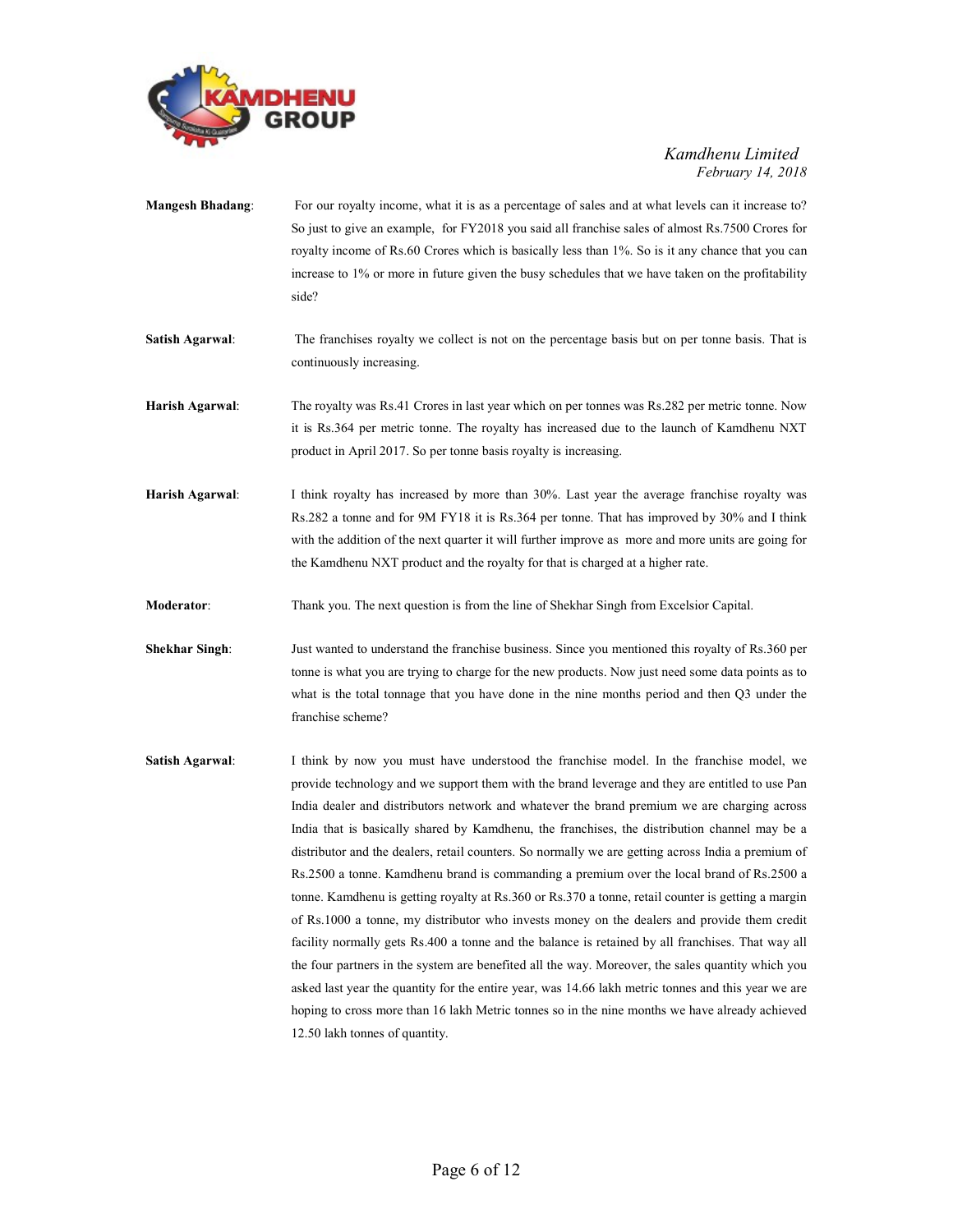

| <b>Mangesh Bhadang:</b> | For our royalty income, what it is as a percentage of sales and at what levels can it increase to?<br>So just to give an example, for FY2018 you said all franchise sales of almost Rs.7500 Crores for<br>royalty income of Rs.60 Crores which is basically less than 1%. So is it any chance that you can<br>increase to 1% or more in future given the busy schedules that we have taken on the profitability<br>side?                                                                                                                                                                                                                                                                                                                                                                                                                                                                                                                                                                                                                                                                                                                                                                                              |
|-------------------------|-----------------------------------------------------------------------------------------------------------------------------------------------------------------------------------------------------------------------------------------------------------------------------------------------------------------------------------------------------------------------------------------------------------------------------------------------------------------------------------------------------------------------------------------------------------------------------------------------------------------------------------------------------------------------------------------------------------------------------------------------------------------------------------------------------------------------------------------------------------------------------------------------------------------------------------------------------------------------------------------------------------------------------------------------------------------------------------------------------------------------------------------------------------------------------------------------------------------------|
| <b>Satish Agarwal:</b>  | The franchises royalty we collect is not on the percentage basis but on per tonne basis. That is<br>continuously increasing.                                                                                                                                                                                                                                                                                                                                                                                                                                                                                                                                                                                                                                                                                                                                                                                                                                                                                                                                                                                                                                                                                          |
| Harish Agarwal:         | The royalty was Rs.41 Crores in last year which on per tonnes was Rs.282 per metric tonne. Now<br>it is Rs.364 per metric tonne. The royalty has increased due to the launch of Kamdhenu NXT<br>product in April 2017. So per tonne basis royalty is increasing.                                                                                                                                                                                                                                                                                                                                                                                                                                                                                                                                                                                                                                                                                                                                                                                                                                                                                                                                                      |
| Harish Agarwal:         | I think royalty has increased by more than 30%. Last year the average franchise royalty was<br>Rs.282 a tonne and for 9M FY18 it is Rs.364 per tonne. That has improved by 30% and I think<br>with the addition of the next quarter it will further improve as more and more units are going for<br>the Kamdhenu NXT product and the royalty for that is charged at a higher rate.                                                                                                                                                                                                                                                                                                                                                                                                                                                                                                                                                                                                                                                                                                                                                                                                                                    |
| Moderator:              | Thank you. The next question is from the line of Shekhar Singh from Excelsior Capital.                                                                                                                                                                                                                                                                                                                                                                                                                                                                                                                                                                                                                                                                                                                                                                                                                                                                                                                                                                                                                                                                                                                                |
| <b>Shekhar Singh:</b>   | Just wanted to understand the franchise business. Since you mentioned this royalty of Rs.360 per<br>tonne is what you are trying to charge for the new products. Now just need some data points as to<br>what is the total tonnage that you have done in the nine months period and then Q3 under the<br>franchise scheme?                                                                                                                                                                                                                                                                                                                                                                                                                                                                                                                                                                                                                                                                                                                                                                                                                                                                                            |
| <b>Satish Agarwal:</b>  | I think by now you must have understood the franchise model. In the franchise model, we<br>provide technology and we support them with the brand leverage and they are entitled to use Pan<br>India dealer and distributors network and whatever the brand premium we are charging across<br>India that is basically shared by Kamdhenu, the franchises, the distribution channel may be a<br>distributor and the dealers, retail counters. So normally we are getting across India a premium of<br>Rs.2500 a tonne. Kamdhenu brand is commanding a premium over the local brand of Rs.2500 a<br>tonne. Kamdhenu is getting royalty at Rs.360 or Rs.370 a tonne, retail counter is getting a margin<br>of Rs.1000 a tonne, my distributor who invests money on the dealers and provide them credit<br>facility normally gets Rs.400 a tonne and the balance is retained by all franchises. That way all<br>the four partners in the system are benefited all the way. Moreover, the sales quantity which you<br>asked last year the quantity for the entire year, was 14.66 lakh metric tonnes and this year we are<br>hoping to cross more than 16 lakh Metric tonnes so in the nine months we have already achieved |

12.50 lakh tonnes of quantity.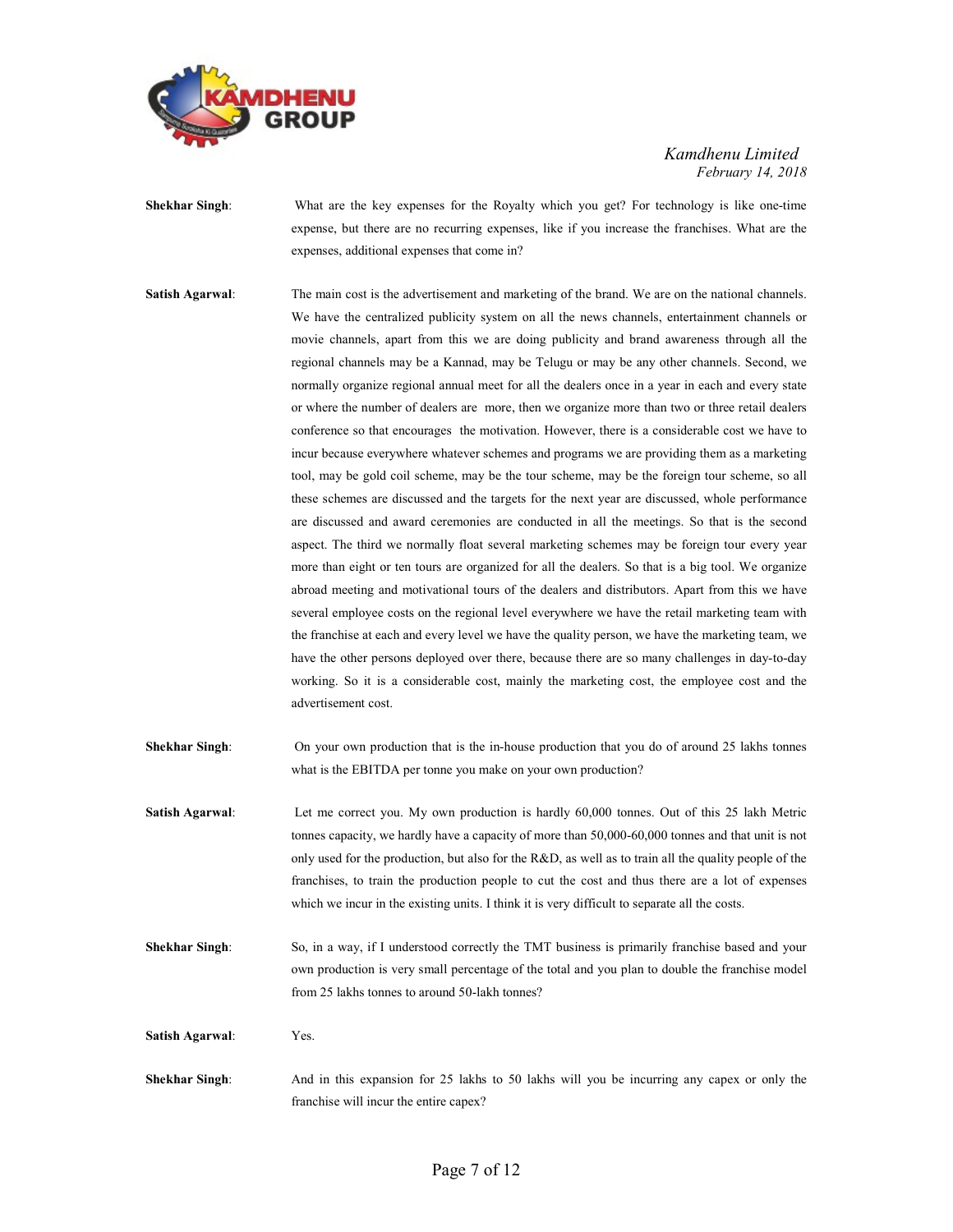

- Shekhar Singh: What are the key expenses for the Royalty which you get? For technology is like one-time expense, but there are no recurring expenses, like if you increase the franchises. What are the expenses, additional expenses that come in?
- Satish Agarwal: The main cost is the advertisement and marketing of the brand. We are on the national channels. We have the centralized publicity system on all the news channels, entertainment channels or movie channels, apart from this we are doing publicity and brand awareness through all the regional channels may be a Kannad, may be Telugu or may be any other channels. Second, we normally organize regional annual meet for all the dealers once in a year in each and every state or where the number of dealers are more, then we organize more than two or three retail dealers conference so that encourages the motivation. However, there is a considerable cost we have to incur because everywhere whatever schemes and programs we are providing them as a marketing tool, may be gold coil scheme, may be the tour scheme, may be the foreign tour scheme, so all these schemes are discussed and the targets for the next year are discussed, whole performance are discussed and award ceremonies are conducted in all the meetings. So that is the second aspect. The third we normally float several marketing schemes may be foreign tour every year more than eight or ten tours are organized for all the dealers. So that is a big tool. We organize abroad meeting and motivational tours of the dealers and distributors. Apart from this we have several employee costs on the regional level everywhere we have the retail marketing team with the franchise at each and every level we have the quality person, we have the marketing team, we have the other persons deployed over there, because there are so many challenges in day-to-day working. So it is a considerable cost, mainly the marketing cost, the employee cost and the advertisement cost.
- Shekhar Singh: On your own production that is the in-house production that you do of around 25 lakhs tonnes what is the EBITDA per tonne you make on your own production?
- Satish Agarwal: Let me correct you. My own production is hardly 60,000 tonnes. Out of this 25 lakh Metric tonnes capacity, we hardly have a capacity of more than 50,000-60,000 tonnes and that unit is not only used for the production, but also for the R&D, as well as to train all the quality people of the franchises, to train the production people to cut the cost and thus there are a lot of expenses which we incur in the existing units. I think it is very difficult to separate all the costs.
- Shekhar Singh: So, in a way, if I understood correctly the TMT business is primarily franchise based and your own production is very small percentage of the total and you plan to double the franchise model from 25 lakhs tonnes to around 50-lakh tonnes?

Satish Agarwal: Yes.

Shekhar Singh: And in this expansion for 25 lakhs to 50 lakhs will you be incurring any capex or only the franchise will incur the entire capex?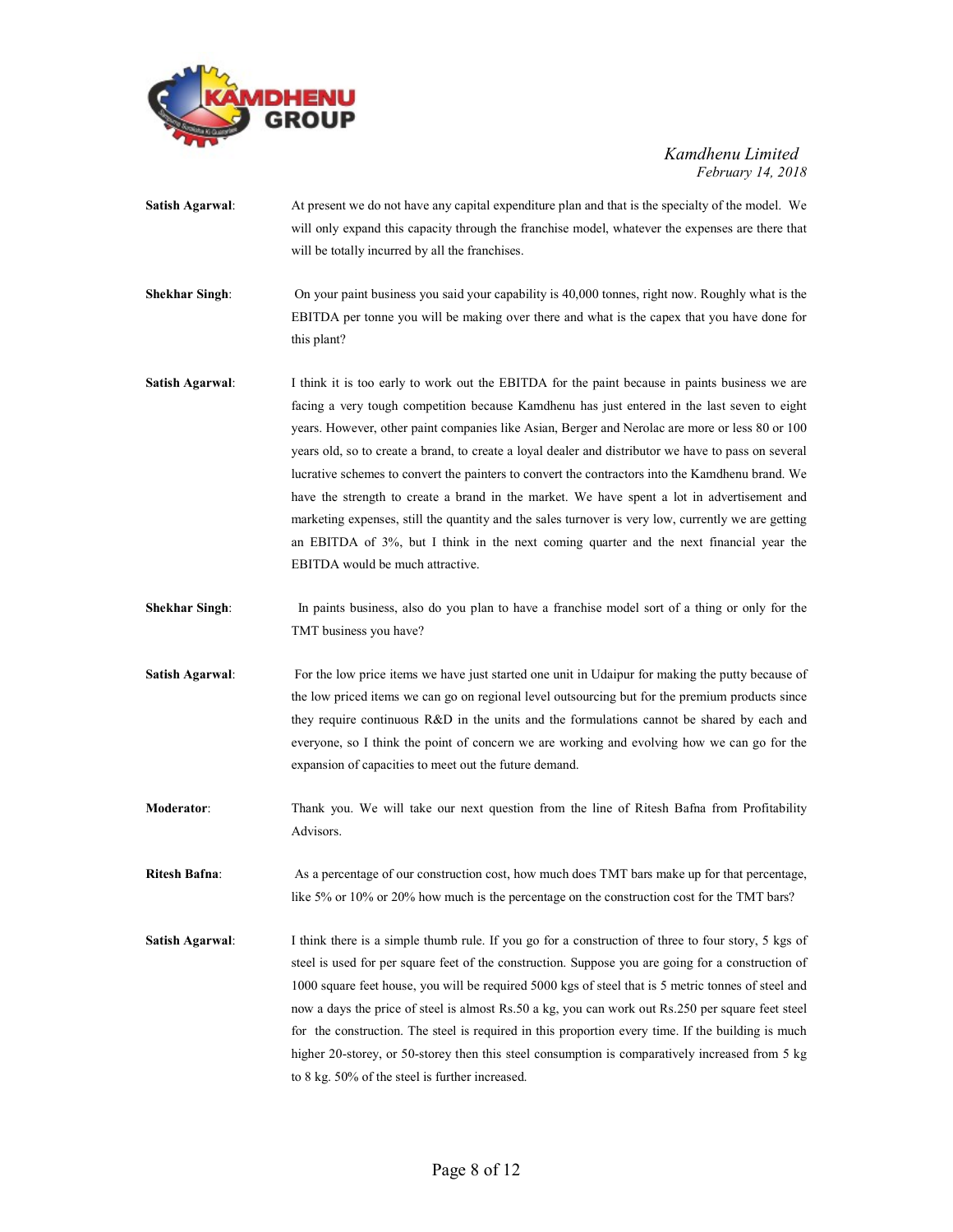

| <b>Satish Agarwal:</b> | At present we do not have any capital expenditure plan and that is the specialty of the model. We<br>will only expand this capacity through the franchise model, whatever the expenses are there that<br>will be totally incurred by all the franchises.                                                                                                                                                                                                                                                                                                                                                                                                                                                                                                                                                                                           |
|------------------------|----------------------------------------------------------------------------------------------------------------------------------------------------------------------------------------------------------------------------------------------------------------------------------------------------------------------------------------------------------------------------------------------------------------------------------------------------------------------------------------------------------------------------------------------------------------------------------------------------------------------------------------------------------------------------------------------------------------------------------------------------------------------------------------------------------------------------------------------------|
| <b>Shekhar Singh:</b>  | On your paint business you said your capability is 40,000 tonnes, right now. Roughly what is the<br>EBITDA per tonne you will be making over there and what is the capex that you have done for<br>this plant?                                                                                                                                                                                                                                                                                                                                                                                                                                                                                                                                                                                                                                     |
| <b>Satish Agarwal:</b> | I think it is too early to work out the EBITDA for the paint because in paints business we are<br>facing a very tough competition because Kamdhenu has just entered in the last seven to eight<br>years. However, other paint companies like Asian, Berger and Nerolac are more or less 80 or 100<br>years old, so to create a brand, to create a loyal dealer and distributor we have to pass on several<br>lucrative schemes to convert the painters to convert the contractors into the Kamdhenu brand. We<br>have the strength to create a brand in the market. We have spent a lot in advertisement and<br>marketing expenses, still the quantity and the sales turnover is very low, currently we are getting<br>an EBITDA of 3%, but I think in the next coming quarter and the next financial year the<br>EBITDA would be much attractive. |

- Shekhar Singh: In paints business, also do you plan to have a franchise model sort of a thing or only for the TMT business you have?
- Satish Agarwal: For the low price items we have just started one unit in Udaipur for making the putty because of the low priced items we can go on regional level outsourcing but for the premium products since they require continuous R&D in the units and the formulations cannot be shared by each and everyone, so I think the point of concern we are working and evolving how we can go for the expansion of capacities to meet out the future demand.
- Moderator: Thank you. We will take our next question from the line of Ritesh Bafna from Profitability Advisors.
- Ritesh Bafna: As a percentage of our construction cost, how much does TMT bars make up for that percentage, like 5% or 10% or 20% how much is the percentage on the construction cost for the TMT bars?
- Satish Agarwal: I think there is a simple thumb rule. If you go for a construction of three to four story, 5 kgs of steel is used for per square feet of the construction. Suppose you are going for a construction of 1000 square feet house, you will be required 5000 kgs of steel that is 5 metric tonnes of steel and now a days the price of steel is almost Rs.50 a kg, you can work out Rs.250 per square feet steel for the construction. The steel is required in this proportion every time. If the building is much higher 20-storey, or 50-storey then this steel consumption is comparatively increased from 5 kg to 8 kg. 50% of the steel is further increased.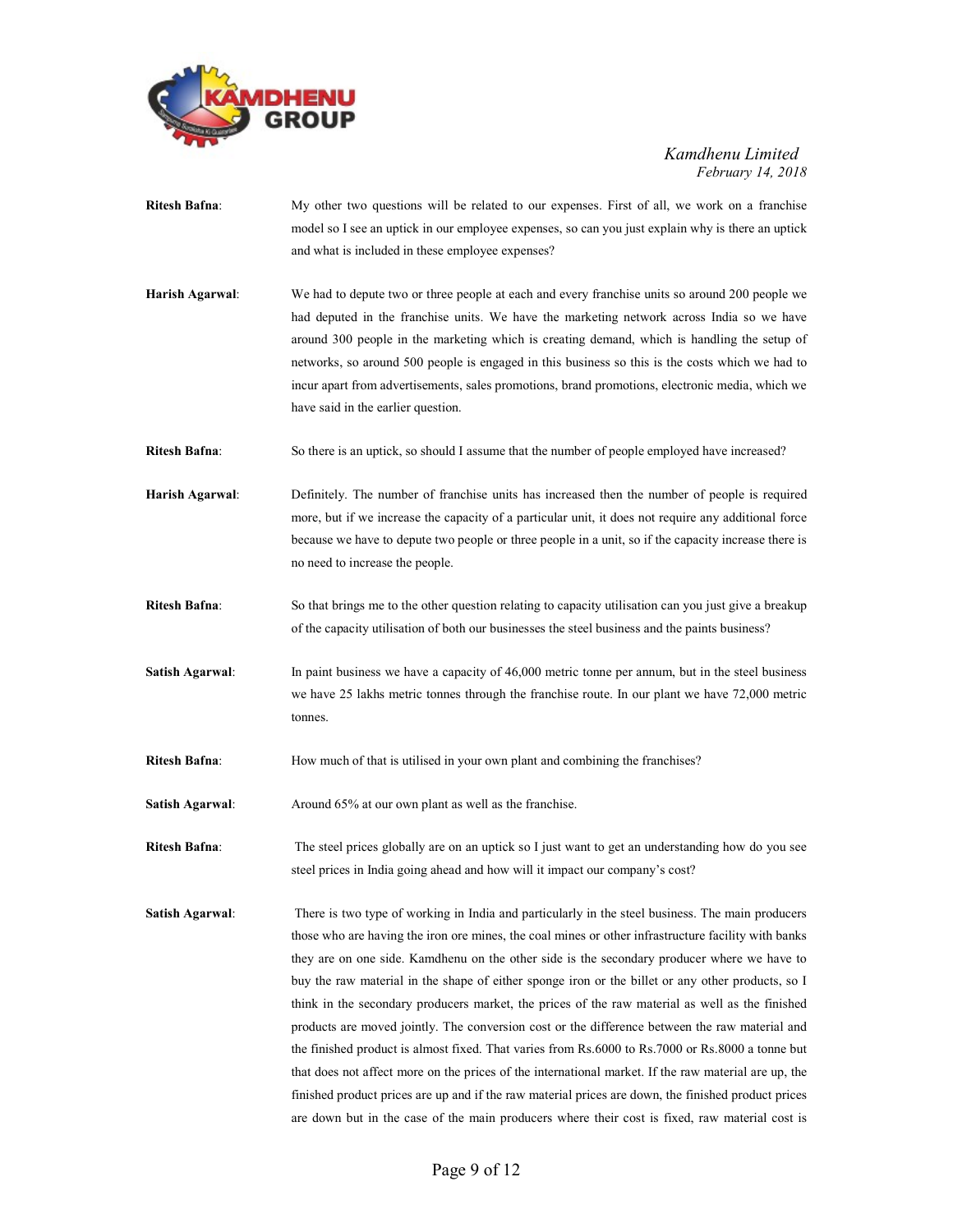

- Ritesh Bafna: My other two questions will be related to our expenses. First of all, we work on a franchise model so I see an uptick in our employee expenses, so can you just explain why is there an uptick and what is included in these employee expenses?
- Harish Agarwal: We had to depute two or three people at each and every franchise units so around 200 people we had deputed in the franchise units. We have the marketing network across India so we have around 300 people in the marketing which is creating demand, which is handling the setup of networks, so around 500 people is engaged in this business so this is the costs which we had to incur apart from advertisements, sales promotions, brand promotions, electronic media, which we have said in the earlier question.
- Ritesh Bafna: So there is an uptick, so should I assume that the number of people employed have increased?
- Harish Agarwal: Definitely. The number of franchise units has increased then the number of people is required more, but if we increase the capacity of a particular unit, it does not require any additional force because we have to depute two people or three people in a unit, so if the capacity increase there is no need to increase the people.
- Ritesh Bafna: So that brings me to the other question relating to capacity utilisation can you just give a breakup of the capacity utilisation of both our businesses the steel business and the paints business?
- Satish Agarwal: In paint business we have a capacity of 46,000 metric tonne per annum, but in the steel business we have 25 lakhs metric tonnes through the franchise route. In our plant we have 72,000 metric tonnes.
- Ritesh Bafna: How much of that is utilised in your own plant and combining the franchises?

Satish Agarwal: Around 65% at our own plant as well as the franchise.

Ritesh Bafna: The steel prices globally are on an uptick so I just want to get an understanding how do you see steel prices in India going ahead and how will it impact our company's cost?

Satish Agarwal: There is two type of working in India and particularly in the steel business. The main producers those who are having the iron ore mines, the coal mines or other infrastructure facility with banks they are on one side. Kamdhenu on the other side is the secondary producer where we have to buy the raw material in the shape of either sponge iron or the billet or any other products, so I think in the secondary producers market, the prices of the raw material as well as the finished products are moved jointly. The conversion cost or the difference between the raw material and the finished product is almost fixed. That varies from Rs.6000 to Rs.7000 or Rs.8000 a tonne but that does not affect more on the prices of the international market. If the raw material are up, the finished product prices are up and if the raw material prices are down, the finished product prices are down but in the case of the main producers where their cost is fixed, raw material cost is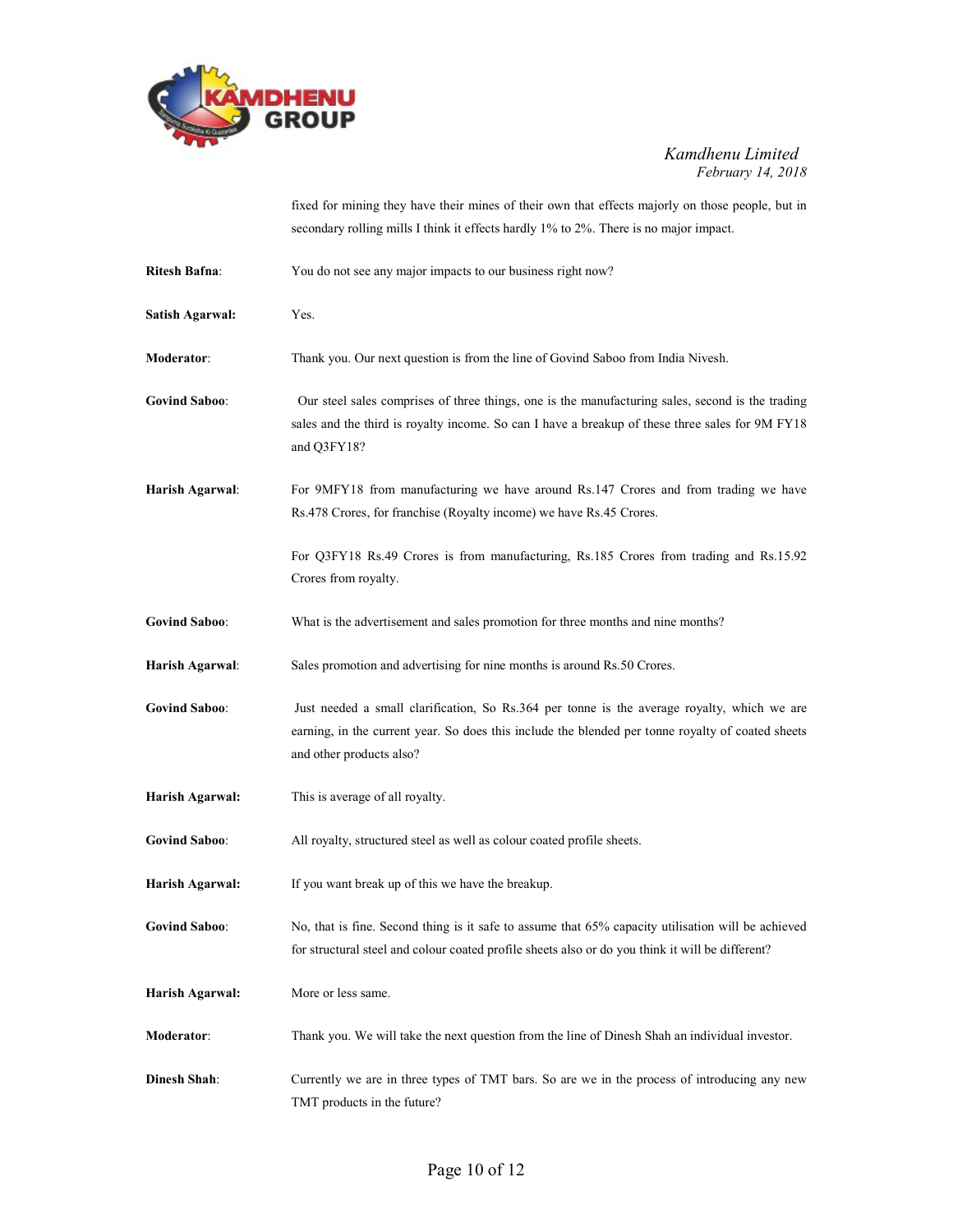

fixed for mining they have their mines of their own that effects majorly on those people, but in secondary rolling mills I think it effects hardly 1% to 2%. There is no major impact.

| <b>Ritesh Bafna:</b>   | You do not see any major impacts to our business right now?                                                                                                                                                                  |
|------------------------|------------------------------------------------------------------------------------------------------------------------------------------------------------------------------------------------------------------------------|
| <b>Satish Agarwal:</b> | Yes.                                                                                                                                                                                                                         |
| Moderator:             | Thank you. Our next question is from the line of Govind Saboo from India Nivesh.                                                                                                                                             |
| <b>Govind Saboo:</b>   | Our steel sales comprises of three things, one is the manufacturing sales, second is the trading<br>sales and the third is royalty income. So can I have a breakup of these three sales for 9M FY18<br>and Q3FY18?           |
| Harish Agarwal:        | For 9MFY18 from manufacturing we have around Rs.147 Crores and from trading we have<br>Rs.478 Crores, for franchise (Royalty income) we have Rs.45 Crores.                                                                   |
|                        | For Q3FY18 Rs.49 Crores is from manufacturing, Rs.185 Crores from trading and Rs.15.92<br>Crores from royalty.                                                                                                               |
| <b>Govind Saboo:</b>   | What is the advertisement and sales promotion for three months and nine months?                                                                                                                                              |
| Harish Agarwal:        | Sales promotion and advertising for nine months is around Rs.50 Crores.                                                                                                                                                      |
| <b>Govind Saboo:</b>   | Just needed a small clarification, So Rs.364 per tonne is the average royalty, which we are<br>earning, in the current year. So does this include the blended per tonne royalty of coated sheets<br>and other products also? |
| Harish Agarwal:        | This is average of all royalty.                                                                                                                                                                                              |
| <b>Govind Saboo:</b>   | All royalty, structured steel as well as colour coated profile sheets.                                                                                                                                                       |
| Harish Agarwal:        | If you want break up of this we have the breakup.                                                                                                                                                                            |
| <b>Govind Saboo:</b>   | No, that is fine. Second thing is it safe to assume that 65% capacity utilisation will be achieved<br>for structural steel and colour coated profile sheets also or do you think it will be different?                       |
| Harish Agarwal:        | More or less same.                                                                                                                                                                                                           |
| Moderator:             | Thank you. We will take the next question from the line of Dinesh Shah an individual investor.                                                                                                                               |
| <b>Dinesh Shah:</b>    | Currently we are in three types of TMT bars. So are we in the process of introducing any new<br>TMT products in the future?                                                                                                  |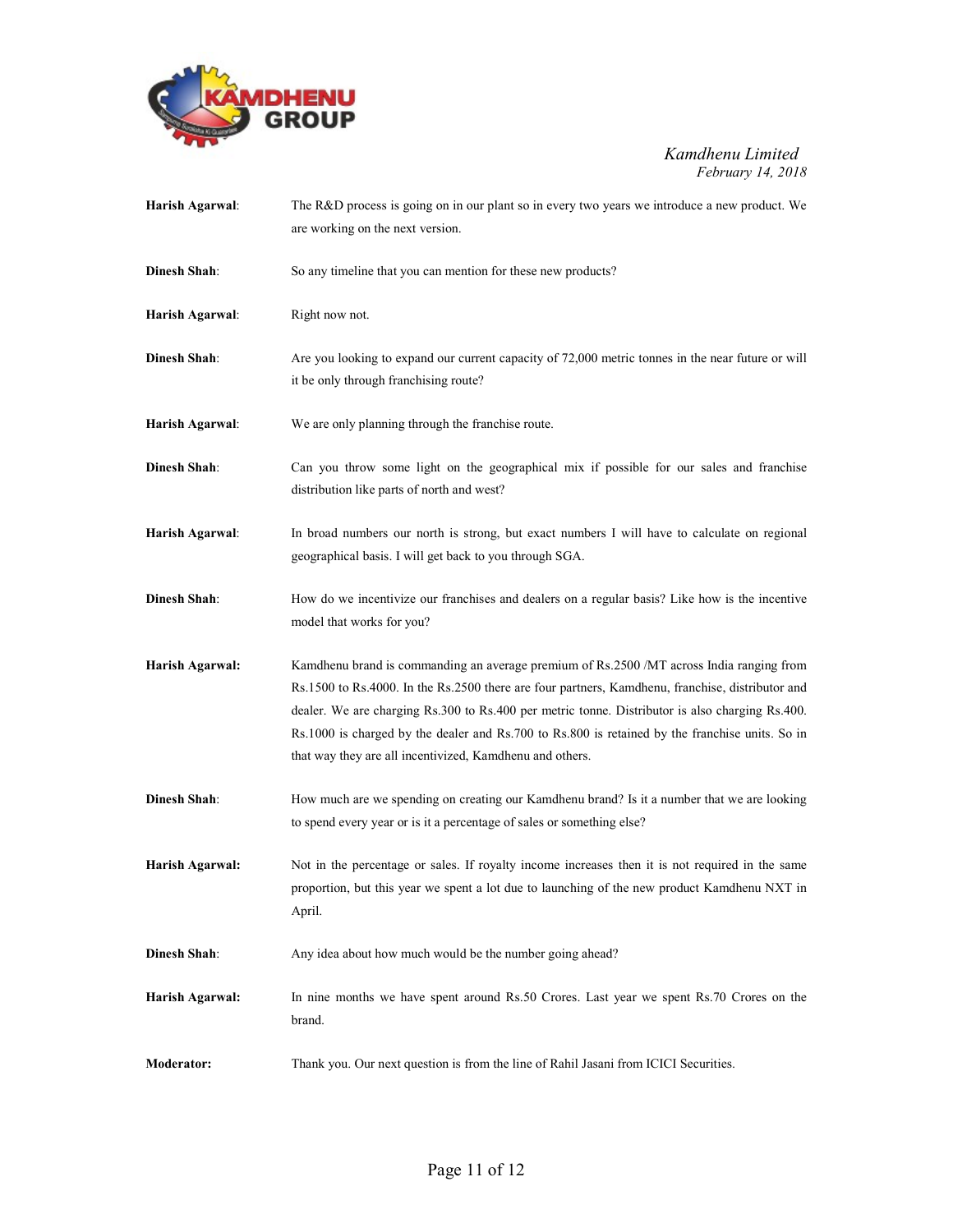

| Harish Agarwal:     | The R&D process is going on in our plant so in every two years we introduce a new product. We                                                                                                                                                                                                                                                                                                                                                                  |
|---------------------|----------------------------------------------------------------------------------------------------------------------------------------------------------------------------------------------------------------------------------------------------------------------------------------------------------------------------------------------------------------------------------------------------------------------------------------------------------------|
|                     | are working on the next version.                                                                                                                                                                                                                                                                                                                                                                                                                               |
| <b>Dinesh Shah:</b> | So any timeline that you can mention for these new products?                                                                                                                                                                                                                                                                                                                                                                                                   |
| Harish Agarwal:     | Right now not.                                                                                                                                                                                                                                                                                                                                                                                                                                                 |
| Dinesh Shah:        | Are you looking to expand our current capacity of 72,000 metric tonnes in the near future or will<br>it be only through franchising route?                                                                                                                                                                                                                                                                                                                     |
| Harish Agarwal:     | We are only planning through the franchise route.                                                                                                                                                                                                                                                                                                                                                                                                              |
| <b>Dinesh Shah:</b> | Can you throw some light on the geographical mix if possible for our sales and franchise<br>distribution like parts of north and west?                                                                                                                                                                                                                                                                                                                         |
| Harish Agarwal:     | In broad numbers our north is strong, but exact numbers I will have to calculate on regional<br>geographical basis. I will get back to you through SGA.                                                                                                                                                                                                                                                                                                        |
| <b>Dinesh Shah:</b> | How do we incentivize our franchises and dealers on a regular basis? Like how is the incentive<br>model that works for you?                                                                                                                                                                                                                                                                                                                                    |
| Harish Agarwal:     | Kamdhenu brand is commanding an average premium of Rs.2500 /MT across India ranging from<br>Rs.1500 to Rs.4000. In the Rs.2500 there are four partners, Kamdhenu, franchise, distributor and<br>dealer. We are charging Rs.300 to Rs.400 per metric tonne. Distributor is also charging Rs.400.<br>Rs.1000 is charged by the dealer and Rs.700 to Rs.800 is retained by the franchise units. So in<br>that way they are all incentivized, Kamdhenu and others. |
| <b>Dinesh Shah:</b> | How much are we spending on creating our Kamdhenu brand? Is it a number that we are looking<br>to spend every year or is it a percentage of sales or something else?                                                                                                                                                                                                                                                                                           |
| Harish Agarwal:     | Not in the percentage or sales. If royalty income increases then it is not required in the same<br>proportion, but this year we spent a lot due to launching of the new product Kamdhenu NXT in<br>April.                                                                                                                                                                                                                                                      |
| <b>Dinesh Shah:</b> | Any idea about how much would be the number going ahead?                                                                                                                                                                                                                                                                                                                                                                                                       |
| Harish Agarwal:     | In nine months we have spent around Rs.50 Crores. Last year we spent Rs.70 Crores on the<br>brand.                                                                                                                                                                                                                                                                                                                                                             |
| Moderator:          | Thank you. Our next question is from the line of Rahil Jasani from ICICI Securities.                                                                                                                                                                                                                                                                                                                                                                           |